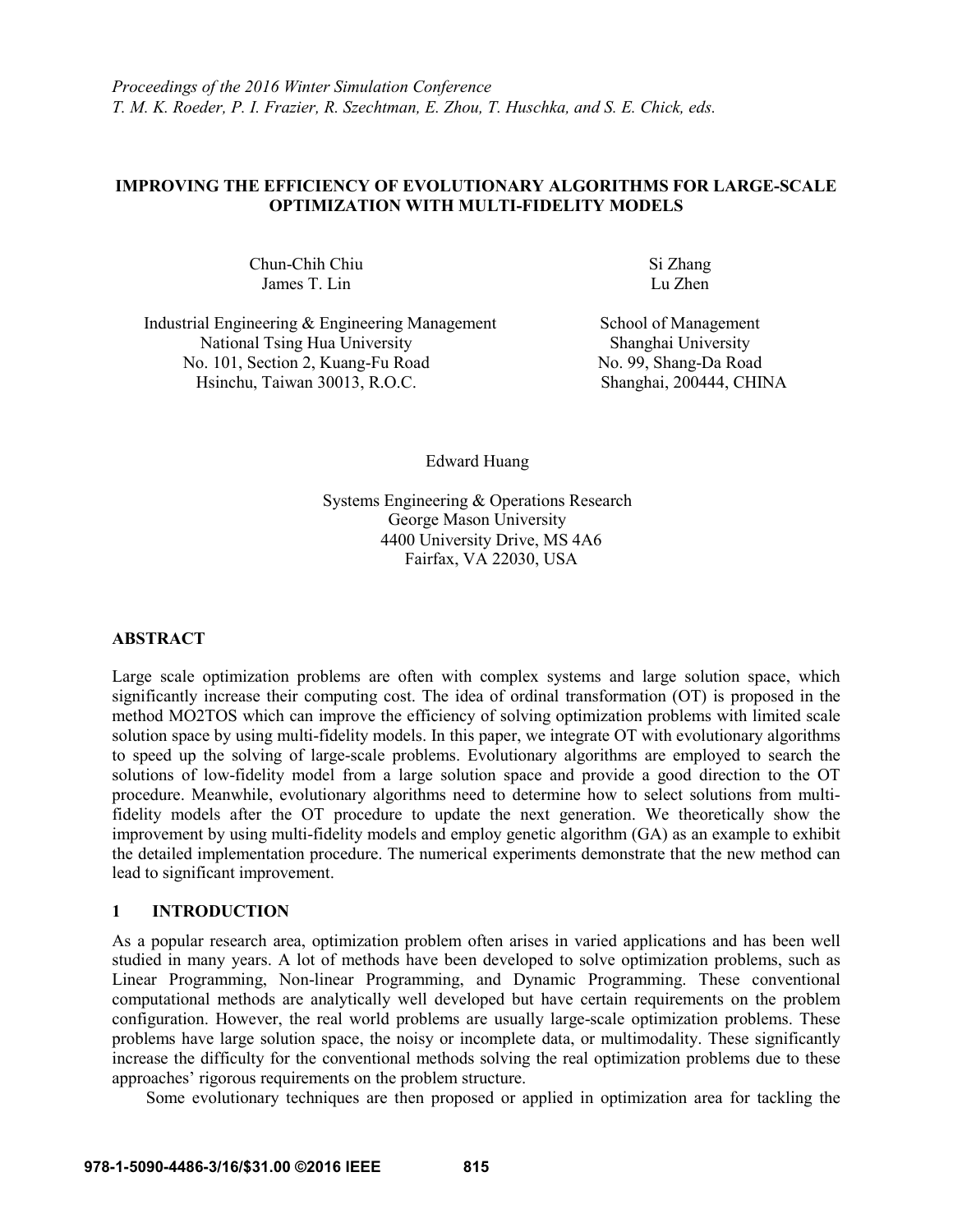# **IMPROVING THE EFFICIENCY OF EVOLUTIONARY ALGORITHMS FOR LARGE-SCALE OPTIMIZATION WITH MULTI-FIDELITY MODELS**

Chun-Chih Chiu Si Zhang<br>James T. Lin Lu Zhen James T. Lin

Industrial Engineering & Engineering Management National Tsing Hua University No. 101, Section 2, Kuang-Fu Road Hsinchu, Taiwan 30013, R.O.C.

School of Management Shanghai University No. 99, Shang-Da Road Shanghai, 200444, CHINA

Edward Huang

Systems Engineering & Operations Research George Mason University 4400 University Drive, MS 4A6 Fairfax, VA 22030, USA

### **ABSTRACT**

Large scale optimization problems are often with complex systems and large solution space, which significantly increase their computing cost. The idea of ordinal transformation (OT) is proposed in the method MO2TOS which can improve the efficiency of solving optimization problems with limited scale solution space by using multi-fidelity models. In this paper, we integrate OT with evolutionary algorithms to speed up the solving of large-scale problems. Evolutionary algorithms are employed to search the solutions of low-fidelity model from a large solution space and provide a good direction to the OT procedure. Meanwhile, evolutionary algorithms need to determine how to select solutions from multifidelity models after the OT procedure to update the next generation. We theoretically show the improvement by using multi-fidelity models and employ genetic algorithm (GA) as an example to exhibit the detailed implementation procedure. The numerical experiments demonstrate that the new method can lead to significant improvement.

# **1 INTRODUCTION**

As a popular research area, optimization problem often arises in varied applications and has been well studied in many years. A lot of methods have been developed to solve optimization problems, such as Linear Programming, Non-linear Programming, and Dynamic Programming. These conventional computational methods are analytically well developed but have certain requirements on the problem configuration. However, the real world problems are usually large-scale optimization problems. These problems have large solution space, the noisy or incomplete data, or multimodality. These significantly increase the difficulty for the conventional methods solving the real optimization problems due to these approaches' rigorous requirements on the problem structure.

Some evolutionary techniques are then proposed or applied in optimization area for tackling the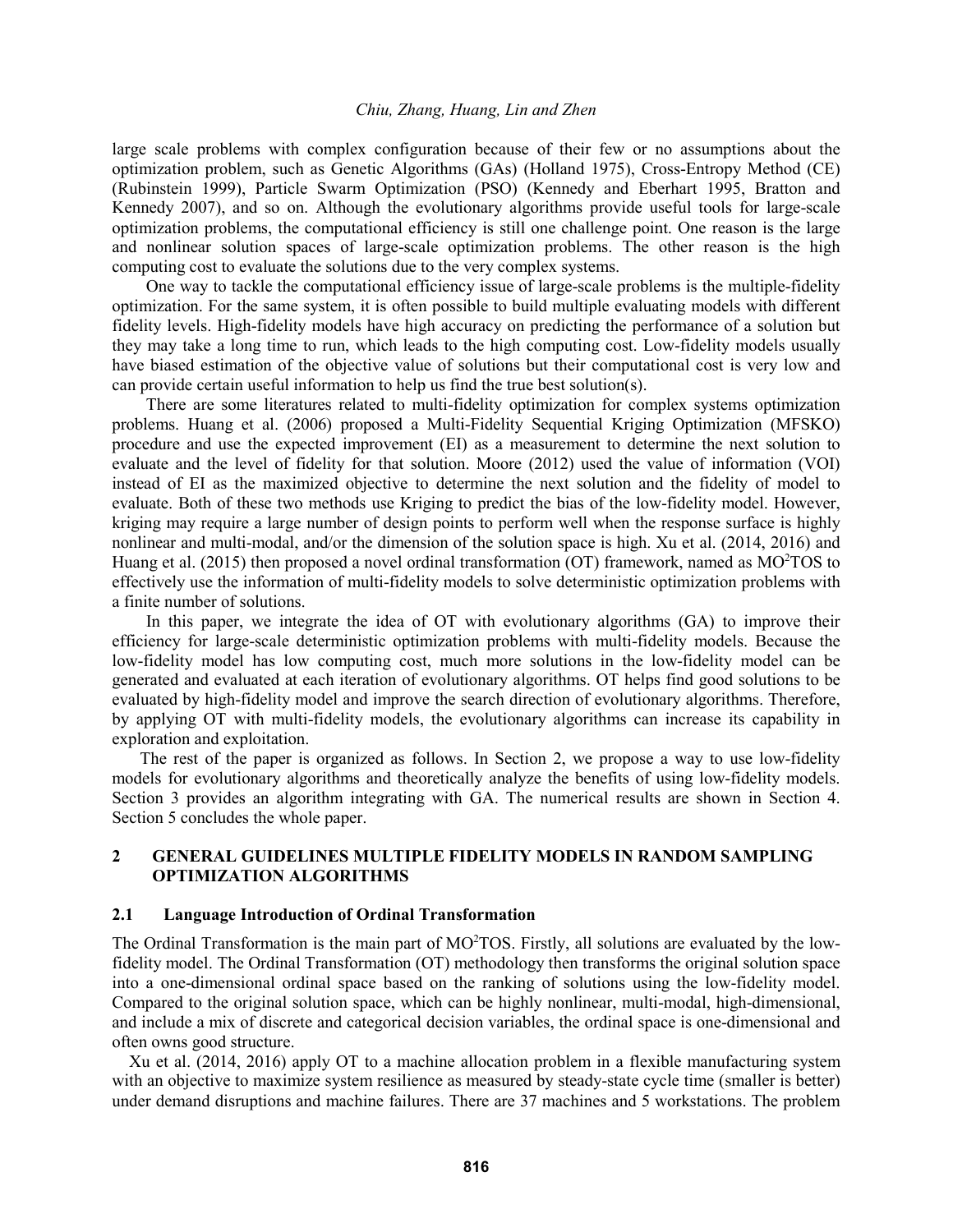large scale problems with complex configuration because of their few or no assumptions about the optimization problem, such as Genetic Algorithms (GAs) (Holland 1975), Cross-Entropy Method (CE) (Rubinstein 1999), Particle Swarm Optimization (PSO) (Kennedy and Eberhart 1995, Bratton and Kennedy 2007), and so on. Although the evolutionary algorithms provide useful tools for large-scale optimization problems, the computational efficiency is still one challenge point. One reason is the large and nonlinear solution spaces of large-scale optimization problems. The other reason is the high computing cost to evaluate the solutions due to the very complex systems.

One way to tackle the computational efficiency issue of large-scale problems is the multiple-fidelity optimization. For the same system, it is often possible to build multiple evaluating models with different fidelity levels. High-fidelity models have high accuracy on predicting the performance of a solution but they may take a long time to run, which leads to the high computing cost. Low-fidelity models usually have biased estimation of the objective value of solutions but their computational cost is very low and can provide certain useful information to help us find the true best solution(s).

There are some literatures related to multi-fidelity optimization for complex systems optimization problems. Huang et al. (2006) proposed a Multi-Fidelity Sequential Kriging Optimization (MFSKO) procedure and use the expected improvement (EI) as a measurement to determine the next solution to evaluate and the level of fidelity for that solution. Moore (2012) used the value of information (VOI) instead of EI as the maximized objective to determine the next solution and the fidelity of model to evaluate. Both of these two methods use Kriging to predict the bias of the low-fidelity model. However, kriging may require a large number of design points to perform well when the response surface is highly nonlinear and multi-modal, and/or the dimension of the solution space is high. Xu et al. (2014, 2016) and Huang et al. (2015) then proposed a novel ordinal transformation (OT) framework, named as MO<sup>2</sup>TOS to effectively use the information of multi-fidelity models to solve deterministic optimization problems with a finite number of solutions.

In this paper, we integrate the idea of OT with evolutionary algorithms (GA) to improve their efficiency for large-scale deterministic optimization problems with multi-fidelity models. Because the low-fidelity model has low computing cost, much more solutions in the low-fidelity model can be generated and evaluated at each iteration of evolutionary algorithms. OT helps find good solutions to be evaluated by high-fidelity model and improve the search direction of evolutionary algorithms. Therefore, by applying OT with multi-fidelity models, the evolutionary algorithms can increase its capability in exploration and exploitation.

The rest of the paper is organized as follows. In Section 2, we propose a way to use low-fidelity models for evolutionary algorithms and theoretically analyze the benefits of using low-fidelity models. Section 3 provides an algorithm integrating with GA. The numerical results are shown in Section 4. Section 5 concludes the whole paper.

# **2 GENERAL GUIDELINES MULTIPLE FIDELITY MODELS IN RANDOM SAMPLING OPTIMIZATION ALGORITHMS**

# **2.1 Language Introduction of Ordinal Transformation**

The Ordinal Transformation is the main part of MO<sup>2</sup>TOS. Firstly, all solutions are evaluated by the lowfidelity model. The Ordinal Transformation (OT) methodology then transforms the original solution space into a one-dimensional ordinal space based on the ranking of solutions using the low-fidelity model. Compared to the original solution space, which can be highly nonlinear, multi-modal, high-dimensional, and include a mix of discrete and categorical decision variables, the ordinal space is one-dimensional and often owns good structure.

Xu et al. (2014, 2016) apply OT to a machine allocation problem in a flexible manufacturing system with an objective to maximize system resilience as measured by steady-state cycle time (smaller is better) under demand disruptions and machine failures. There are 37 machines and 5 workstations. The problem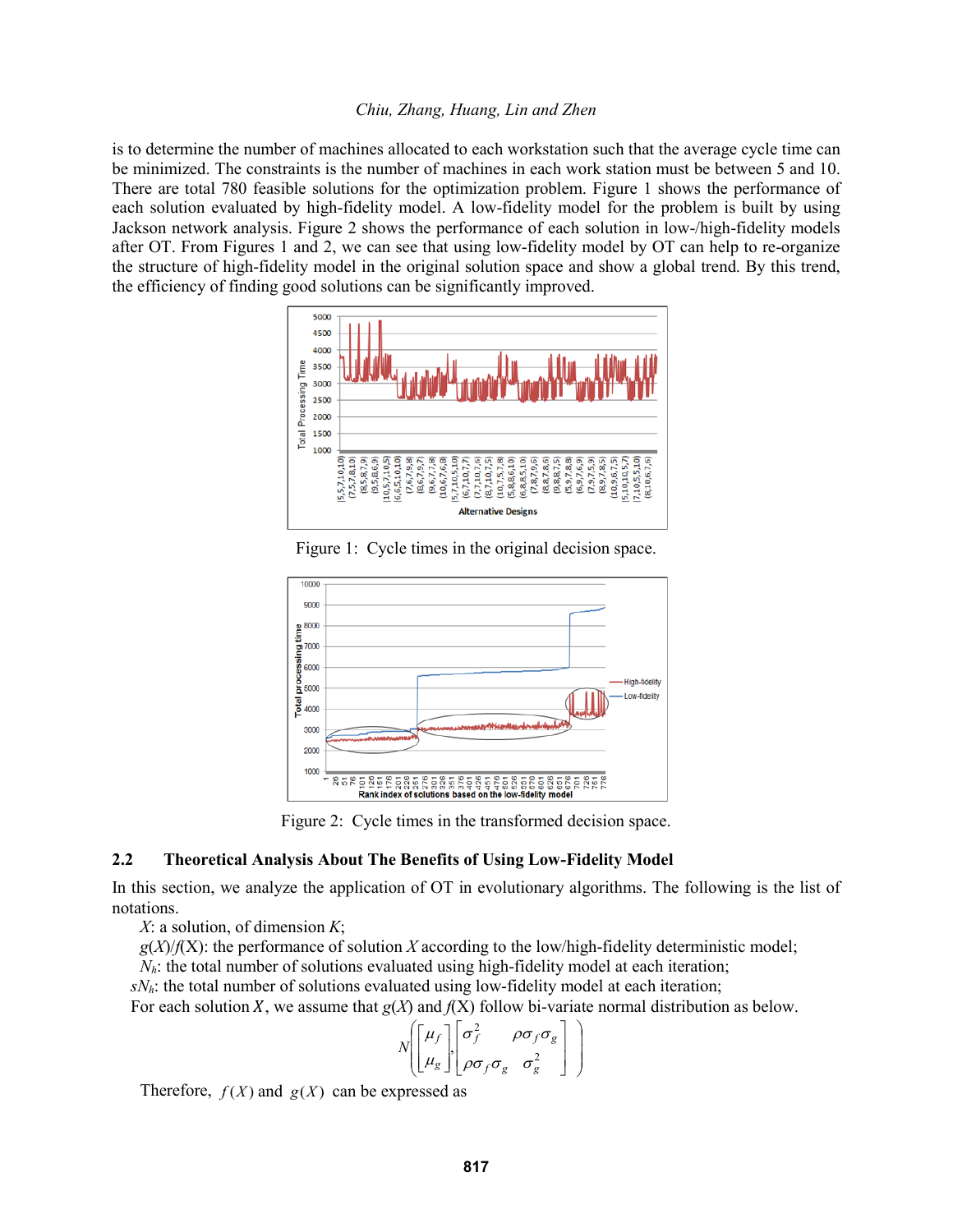is to determine the number of machines allocated to each workstation such that the average cycle time can be minimized. The constraints is the number of machines in each work station must be between 5 and 10. There are total 780 feasible solutions for the optimization problem. Figure 1 shows the performance of each solution evaluated by high-fidelity model. A low-fidelity model for the problem is built by using Jackson network analysis. Figure 2 shows the performance of each solution in low-/high-fidelity models after OT. From Figures 1 and 2, we can see that using low-fidelity model by OT can help to re-organize the structure of high-fidelity model in the original solution space and show a global trend. By this trend, the efficiency of finding good solutions can be significantly improved.



Figure 1: Cycle times in the original decision space.



Figure 2: Cycle times in the transformed decision space.

# **2.2 Theoretical Analysis About The Benefits of Using Low-Fidelity Model**

In this section, we analyze the application of OT in evolutionary algorithms. The following is the list of notations.

*X*: a solution, of dimension *K*;

 $g(X)/f(X)$ : the performance of solution *X* according to the low/high-fidelity deterministic model;

*N<sub>h</sub>*: the total number of solutions evaluated using high-fidelity model at each iteration;

*sNh*: the total number of solutions evaluated using low-fidelity model at each iteration;

For each solution X, we assume that  $g(X)$  and  $f(X)$  follow bi-variate normal distribution as below.

$$
N\left[\begin{bmatrix} \mu_f \\ \mu_g \end{bmatrix}, \begin{bmatrix} \sigma_f^2 & \rho \sigma_f \sigma_g \\ \rho \sigma_f \sigma_g & \sigma_g^2 \end{bmatrix} \right]
$$

Therefore,  $f(X)$  and  $g(X)$  can be expressed as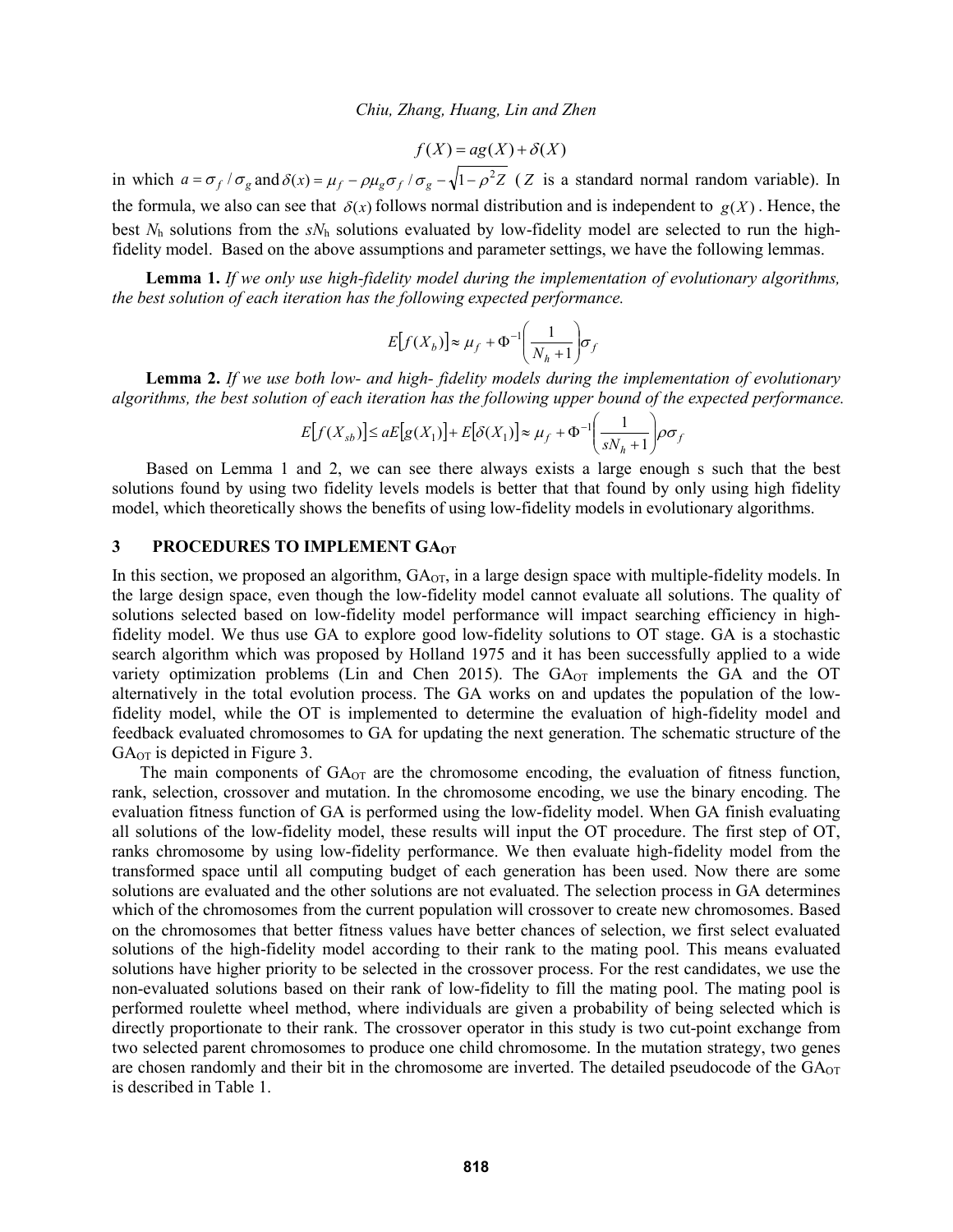$$
f(X) = ag(X) + \delta(X)
$$

in which  $a = \frac{\sigma_f}{\sigma_g}$  and  $\delta(x) = \frac{\mu_f}{\sigma_g} - \frac{\rho \mu_g \sigma_f}{\sigma_g} - \sqrt{1 - \rho^2 Z}$  (Z is a standard normal random variable). In the formula, we also can see that  $\delta(x)$  follows normal distribution and is independent to  $g(X)$ . Hence, the best *N*<sup>h</sup> solutions from the *sN*<sup>h</sup> solutions evaluated by low-fidelity model are selected to run the highfidelity model. Based on the above assumptions and parameter settings, we have the following lemmas.

**Lemma 1.** *If we only use high-fidelity model during the implementation of evolutionary algorithms, the best solution of each iteration has the following expected performance.*

$$
E[f(X_b)] \approx \mu_f + \Phi^{-1} \left(\frac{1}{N_h + 1}\right) \sigma_f
$$

**Lemma 2.** *If we use both low- and high- fidelity models during the implementation of evolutionary algorithms, the best solution of each iteration has the following upper bound of the expected performance.*

$$
E[f(X_{sb})] \le aE[g(X_1)] + E[\delta(X_1)] \approx \mu_f + \Phi^{-1} \left(\frac{1}{sN_h + 1}\right) \rho \sigma_f
$$

Based on Lemma 1 and 2, we can see there always exists a large enough s such that the best solutions found by using two fidelity levels models is better that that found by only using high fidelity model, which theoretically shows the benefits of using low-fidelity models in evolutionary algorithms.

# **3 PROCEDURES TO IMPLEMENT GAOT**

In this section, we proposed an algorithm,  $GA<sub>OT</sub>$ , in a large design space with multiple-fidelity models. In the large design space, even though the low-fidelity model cannot evaluate all solutions. The quality of solutions selected based on low-fidelity model performance will impact searching efficiency in highfidelity model. We thus use GA to explore good low-fidelity solutions to OT stage. GA is a stochastic search algorithm which was proposed by Holland 1975 and it has been successfully applied to a wide variety optimization problems (Lin and Chen 2015). The  $GA<sub>OT</sub>$  implements the GA and the OT alternatively in the total evolution process. The GA works on and updates the population of the lowfidelity model, while the OT is implemented to determine the evaluation of high-fidelity model and feedback evaluated chromosomes to GA for updating the next generation. The schematic structure of the GAOT is depicted in Figure 3.

The main components of  $GA_{\text{OT}}$  are the chromosome encoding, the evaluation of fitness function, rank, selection, crossover and mutation. In the chromosome encoding, we use the binary encoding. The evaluation fitness function of GA is performed using the low-fidelity model. When GA finish evaluating all solutions of the low-fidelity model, these results will input the OT procedure. The first step of OT, ranks chromosome by using low-fidelity performance. We then evaluate high-fidelity model from the transformed space until all computing budget of each generation has been used. Now there are some solutions are evaluated and the other solutions are not evaluated. The selection process in GA determines which of the chromosomes from the current population will crossover to create new chromosomes. Based on the chromosomes that better fitness values have better chances of selection, we first select evaluated solutions of the high-fidelity model according to their rank to the mating pool. This means evaluated solutions have higher priority to be selected in the crossover process. For the rest candidates, we use the non-evaluated solutions based on their rank of low-fidelity to fill the mating pool. The mating pool is performed roulette wheel method, where individuals are given a probability of being selected which is directly proportionate to their rank. The crossover operator in this study is two cut-point exchange from two selected parent chromosomes to produce one child chromosome. In the mutation strategy, two genes are chosen randomly and their bit in the chromosome are inverted. The detailed pseudocode of the GA<sub>OT</sub> is described in Table 1.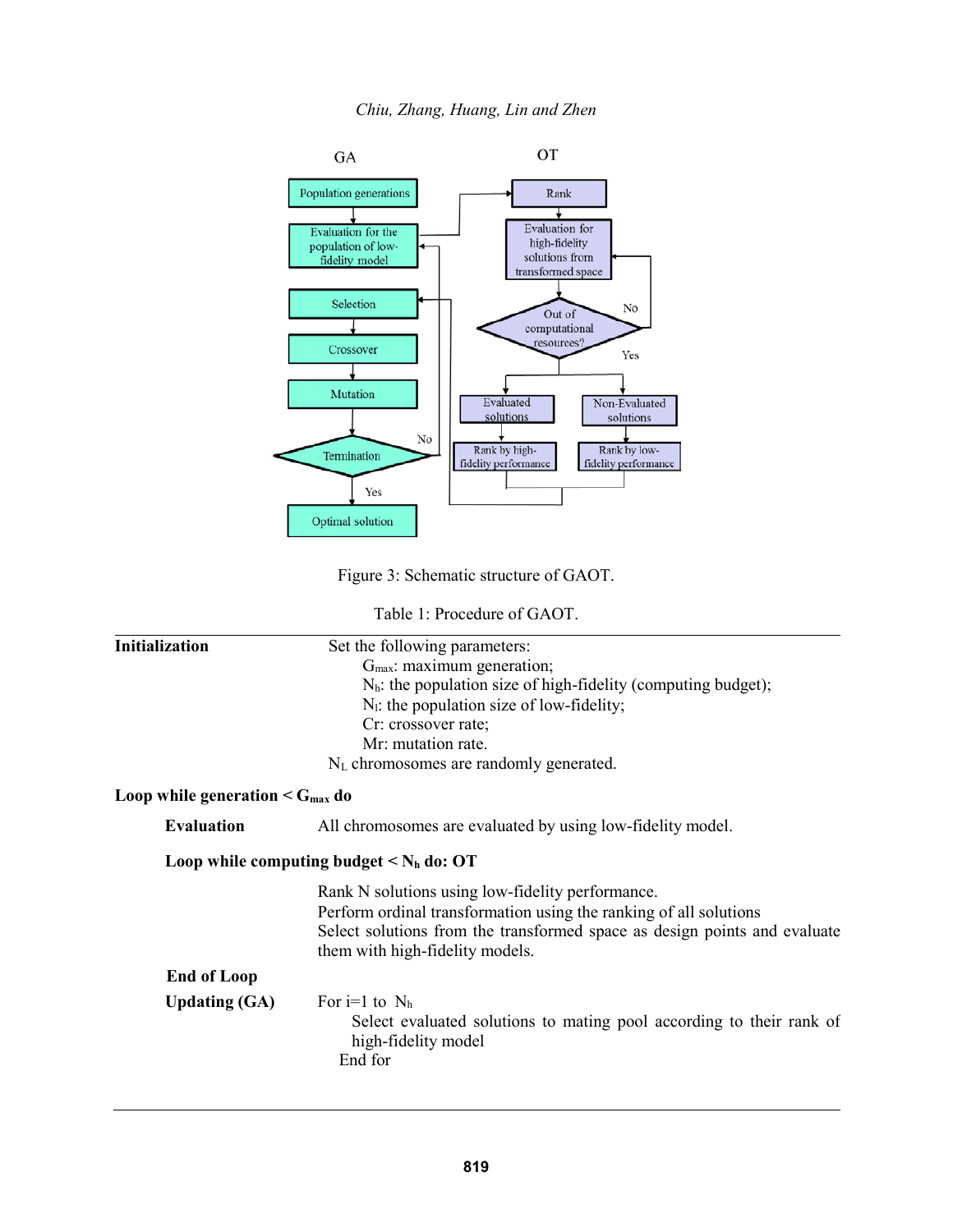

Figure 3: Schematic structure of GAOT.

Table 1: Procedure of GAOT.

| <b>Initialization</b>                            | Set the following parameters:                                                                                                                                                                                                         |  |  |  |  |                                             |
|--------------------------------------------------|---------------------------------------------------------------------------------------------------------------------------------------------------------------------------------------------------------------------------------------|--|--|--|--|---------------------------------------------|
|                                                  | $Gmax$ : maximum generation;                                                                                                                                                                                                          |  |  |  |  |                                             |
|                                                  | $N_h$ : the population size of high-fidelity (computing budget);                                                                                                                                                                      |  |  |  |  |                                             |
|                                                  | $N1$ : the population size of low-fidelity;<br>Cr: crossover rate;<br>Mr: mutation rate.                                                                                                                                              |  |  |  |  |                                             |
|                                                  |                                                                                                                                                                                                                                       |  |  |  |  |                                             |
|                                                  |                                                                                                                                                                                                                                       |  |  |  |  | $N_{L}$ chromosomes are randomly generated. |
| Loop while generation $\leq$ G <sub>max</sub> do |                                                                                                                                                                                                                                       |  |  |  |  |                                             |
| <b>Evaluation</b>                                | All chromosomes are evaluated by using low-fidelity model.                                                                                                                                                                            |  |  |  |  |                                             |
|                                                  | Loop while computing budget $\leq N_h$ do: OT                                                                                                                                                                                         |  |  |  |  |                                             |
|                                                  | Rank N solutions using low-fidelity performance.<br>Perform ordinal transformation using the ranking of all solutions<br>Select solutions from the transformed space as design points and evaluate<br>them with high-fidelity models. |  |  |  |  |                                             |
| <b>End of Loop</b>                               |                                                                                                                                                                                                                                       |  |  |  |  |                                             |
| <b>Updating (GA)</b>                             | For $i=1$ to $N_h$<br>Select evaluated solutions to mating pool according to their rank of<br>high-fidelity model<br>End for                                                                                                          |  |  |  |  |                                             |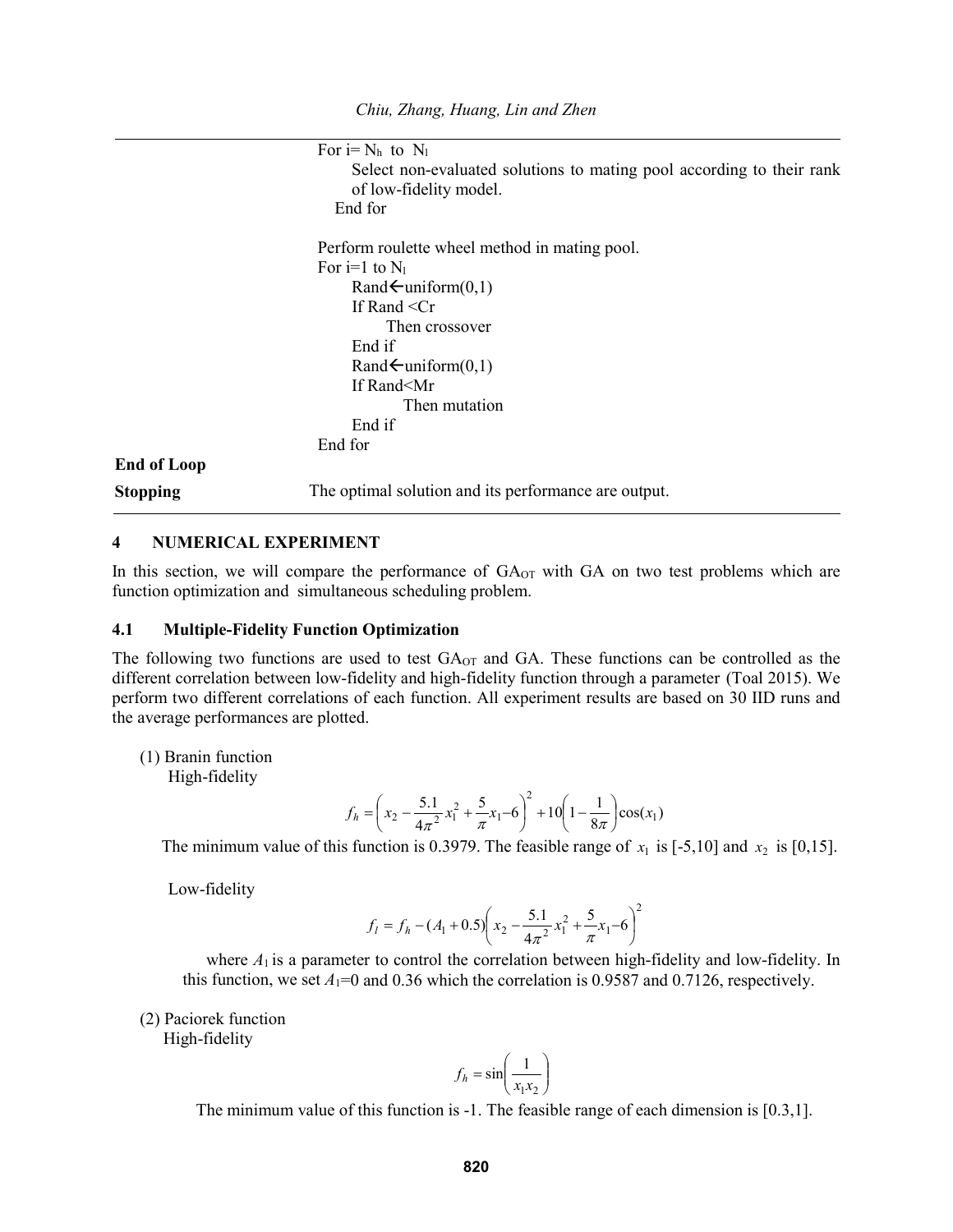For  $i=N_h$  to  $N_l$ Select non-evaluated solutions to mating pool according to their rank of low-fidelity model. End for Perform roulette wheel method in mating pool. For  $i=1$  to  $N_1$  $Rand\leftarrow$ uniform(0,1) If Rand <Cr Then crossover End if Rand $\leftarrow$ uniform $(0,1)$ If Rand<Mr Then mutation End if End for **End of Loop Stopping** The optimal solution and its performance are output.

### **4 NUMERICAL EXPERIMENT**

In this section, we will compare the performance of  $GA<sub>OT</sub>$  with  $GA$  on two test problems which are function optimization and simultaneous scheduling problem.

#### **4.1 Multiple-Fidelity Function Optimization**

The following two functions are used to test GA<sub>OT</sub> and GA. These functions can be controlled as the different correlation between low-fidelity and high-fidelity function through a parameter (Toal 2015). We perform two different correlations of each function. All experiment results are based on 30 IID runs and the average performances are plotted.

(1) Branin function

High-fidelity

$$
f_h = \left(x_2 - \frac{5.1}{4\pi^2}x_1^2 + \frac{5}{\pi}x_1 - 6\right)^2 + 10\left(1 - \frac{1}{8\pi}\right)\cos(x_1)
$$

The minimum value of this function is 0.3979. The feasible range of  $x_1$  is [-5,10] and  $x_2$  is [0,15].

Low-fidelity

$$
f_l = f_h - (A_1 + 0.5) \left( x_2 - \frac{5.1}{4\pi^2} x_1^2 + \frac{5}{\pi} x_1 - 6 \right)^2
$$

where  $A_1$  is a parameter to control the correlation between high-fidelity and low-fidelity. In this function, we set  $A_1=0$  and 0.36 which the correlation is 0.9587 and 0.7126, respectively.

(2) Paciorek function

High-fidelity

$$
f_h = \sin\left(\frac{1}{x_1 x_2}\right)
$$

The minimum value of this function is -1. The feasible range of each dimension is [0.3,1].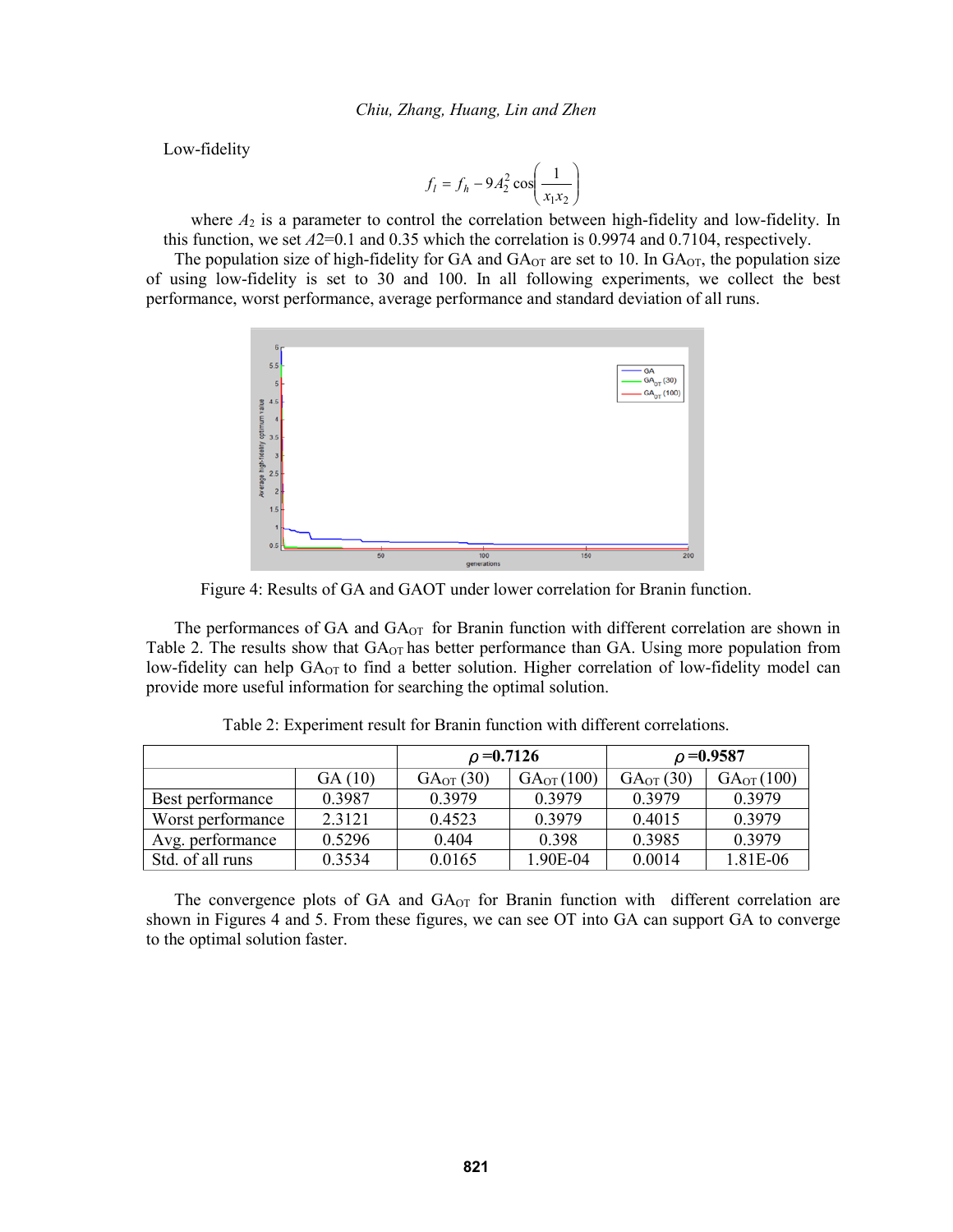Low-fidelity

$$
f_l = f_h - 9A_2^2 \cos\left(\frac{1}{x_1 x_2}\right)
$$

where  $A_2$  is a parameter to control the correlation between high-fidelity and low-fidelity. In this function, we set *A*2=0.1 and 0.35 which the correlation is 0.9974 and 0.7104, respectively.

The population size of high-fidelity for GA and  $GA_{OT}$  are set to 10. In  $GA_{OT}$ , the population size of using low-fidelity is set to 30 and 100. In all following experiments, we collect the best performance, worst performance, average performance and standard deviation of all runs.



Figure 4: Results of GA and GAOT under lower correlation for Branin function.

The performances of GA and  $GA<sub>OT</sub>$  for Branin function with different correlation are shown in Table 2. The results show that  $GA<sub>OT</sub>$  has better performance than GA. Using more population from low-fidelity can help  $GA_{OT}$  to find a better solution. Higher correlation of low-fidelity model can provide more useful information for searching the optimal solution.

|                   |        | $\rho = 0.7126$      |                | $\rho = 0.9587$       |                |
|-------------------|--------|----------------------|----------------|-----------------------|----------------|
|                   | GA(10) | $GA_{\text{OT}}(30)$ | $GA_{OT}(100)$ | GA <sub>OT</sub> (30) | $GA_{OT}(100)$ |
| Best performance  | 0.3987 | 0.3979               | 0 3 9 7 9      | 0 3 9 7 9             | 0 3 9 7 9      |
| Worst performance | 2.3121 | 0.4523               | 0.3979         | 0.4015                | 0.3979         |
| Avg. performance  | 0.5296 | 0.404                | 0.398          | 0.3985                | 0.3979         |
| Std. of all runs  | 0.3534 | 0.0165               | 1.90E-04       | 0.0014                | 1.81E-06       |

Table 2: Experiment result for Branin function with different correlations.

The convergence plots of GA and  $GA_{\text{OT}}$  for Branin function with different correlation are shown in Figures 4 and 5. From these figures, we can see OT into GA can support GA to converge to the optimal solution faster.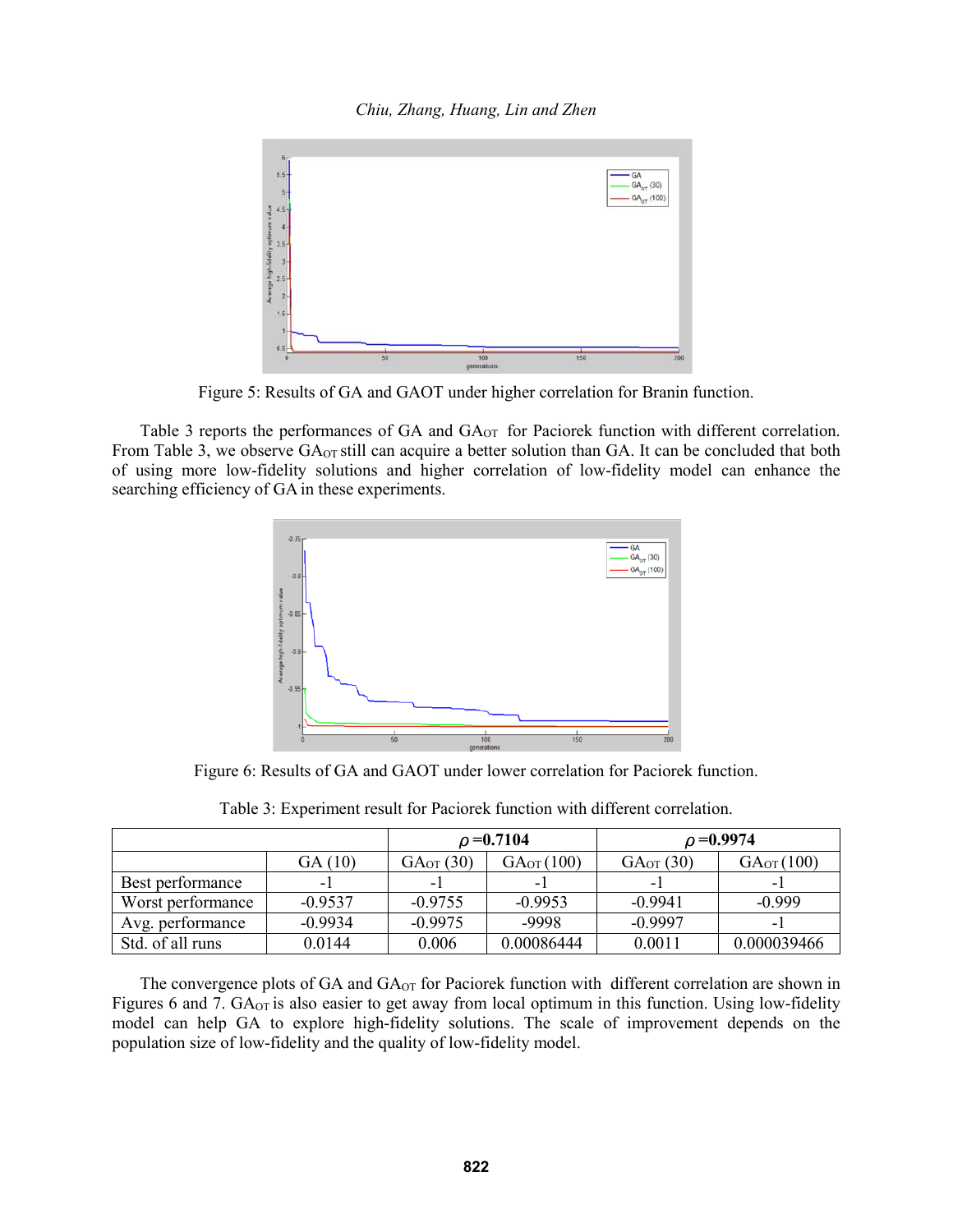*Chiu, Zhang, Huang, Lin and Zhen*



Figure 5: Results of GA and GAOT under higher correlation for Branin function.

Table 3 reports the performances of GA and GA<sub>OT</sub> for Paciorek function with different correlation. From Table 3, we observe GA<sub>OT</sub> still can acquire a better solution than GA. It can be concluded that both of using more low-fidelity solutions and higher correlation of low-fidelity model can enhance the searching efficiency of GA in these experiments.



Figure 6: Results of GA and GAOT under lower correlation for Paciorek function.

|                   |           |               | $\rho = 0.7104$ | $\rho = 0.9974$ |                |
|-------------------|-----------|---------------|-----------------|-----------------|----------------|
|                   | GA (10)   | $GA_{OT}(30)$ | $GA_{OT}(100)$  | $GA_{OT}(30)$   | $GA_{OT}(100)$ |
| Best performance  | ٠         | - 1           | - 1             | -               | ۰              |
| Worst performance | $-0.9537$ | $-0.9755$     | $-0.9953$       | $-0.9941$       | $-0.999$       |
| Avg. performance  | $-0.9934$ | $-0.9975$     | -9998           | $-0.9997$       | -              |
| Std. of all runs  | 0.0144    | 0.006         | 0.00086444      | 0.0011          | 0.000039466    |

Table 3: Experiment result for Paciorek function with different correlation.

The convergence plots of GA and  $GA_{\text{OT}}$  for Paciorek function with different correlation are shown in Figures 6 and 7. GA<sub>OT</sub> is also easier to get away from local optimum in this function. Using low-fidelity model can help GA to explore high-fidelity solutions. The scale of improvement depends on the population size of low-fidelity and the quality of low-fidelity model.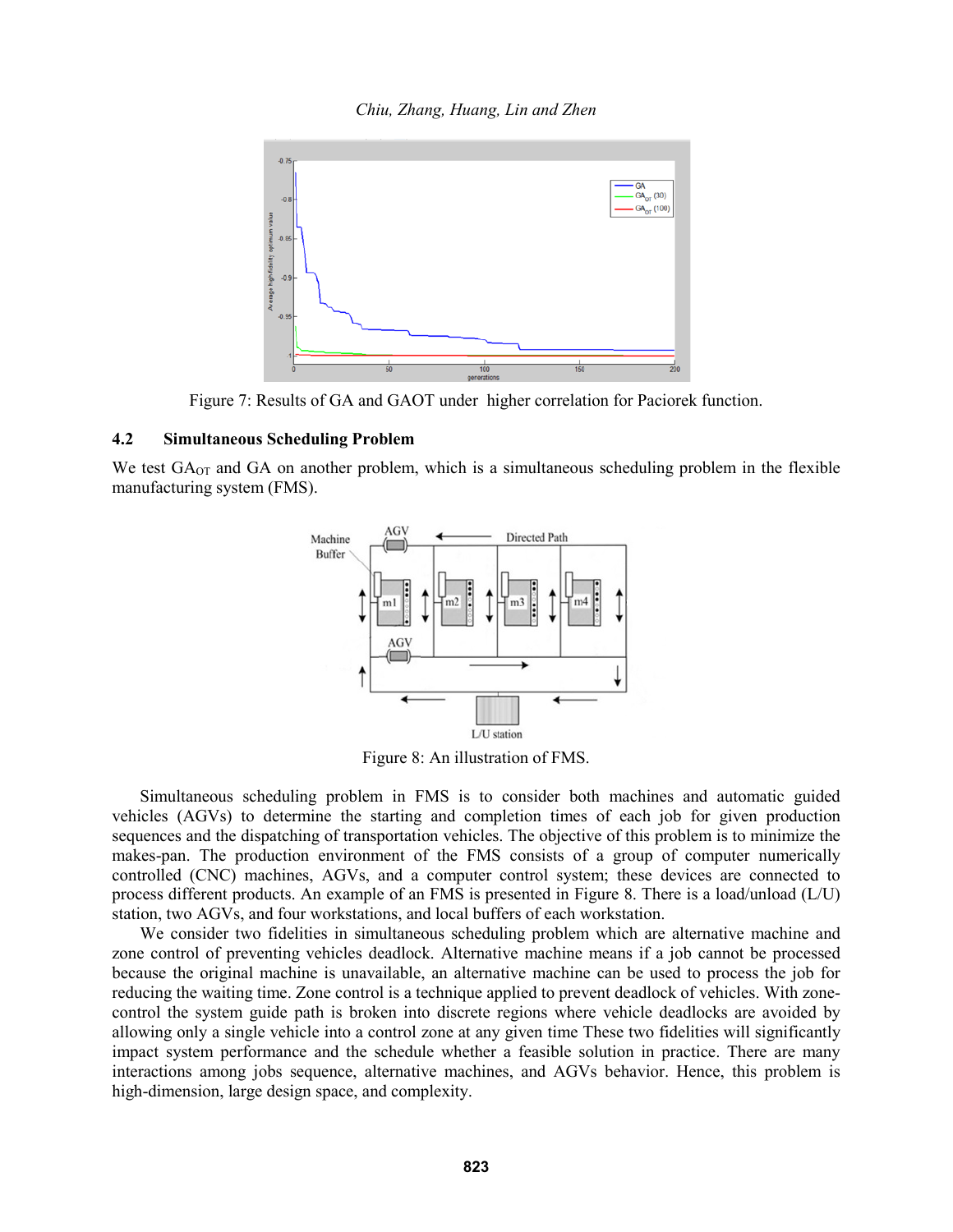*Chiu, Zhang, Huang, Lin and Zhen*



Figure 7: Results of GA and GAOT under higher correlation for Paciorek function.

## **4.2 Simultaneous Scheduling Problem**

We test  $GA_{\text{OT}}$  and  $GA$  on another problem, which is a simultaneous scheduling problem in the flexible manufacturing system (FMS).



Figure 8: An illustration of FMS.

Simultaneous scheduling problem in FMS is to consider both machines and automatic guided vehicles (AGVs) to determine the starting and completion times of each job for given production sequences and the dispatching of transportation vehicles. The objective of this problem is to minimize the makes-pan. The production environment of the FMS consists of a group of computer numerically controlled (CNC) machines, AGVs, and a computer control system; these devices are connected to process different products. An example of an FMS is presented in Figure 8. There is a load/unload (L/U) station, two AGVs, and four workstations, and local buffers of each workstation.

We consider two fidelities in simultaneous scheduling problem which are alternative machine and zone control of preventing vehicles deadlock. Alternative machine means if a job cannot be processed because the original machine is unavailable, an alternative machine can be used to process the job for reducing the waiting time. Zone control is a technique applied to prevent deadlock of vehicles. With zonecontrol the system guide path is broken into discrete regions where vehicle deadlocks are avoided by allowing only a single vehicle into a control zone at any given time These two fidelities will significantly impact system performance and the schedule whether a feasible solution in practice. There are many interactions among jobs sequence, alternative machines, and AGVs behavior. Hence, this problem is high-dimension, large design space, and complexity.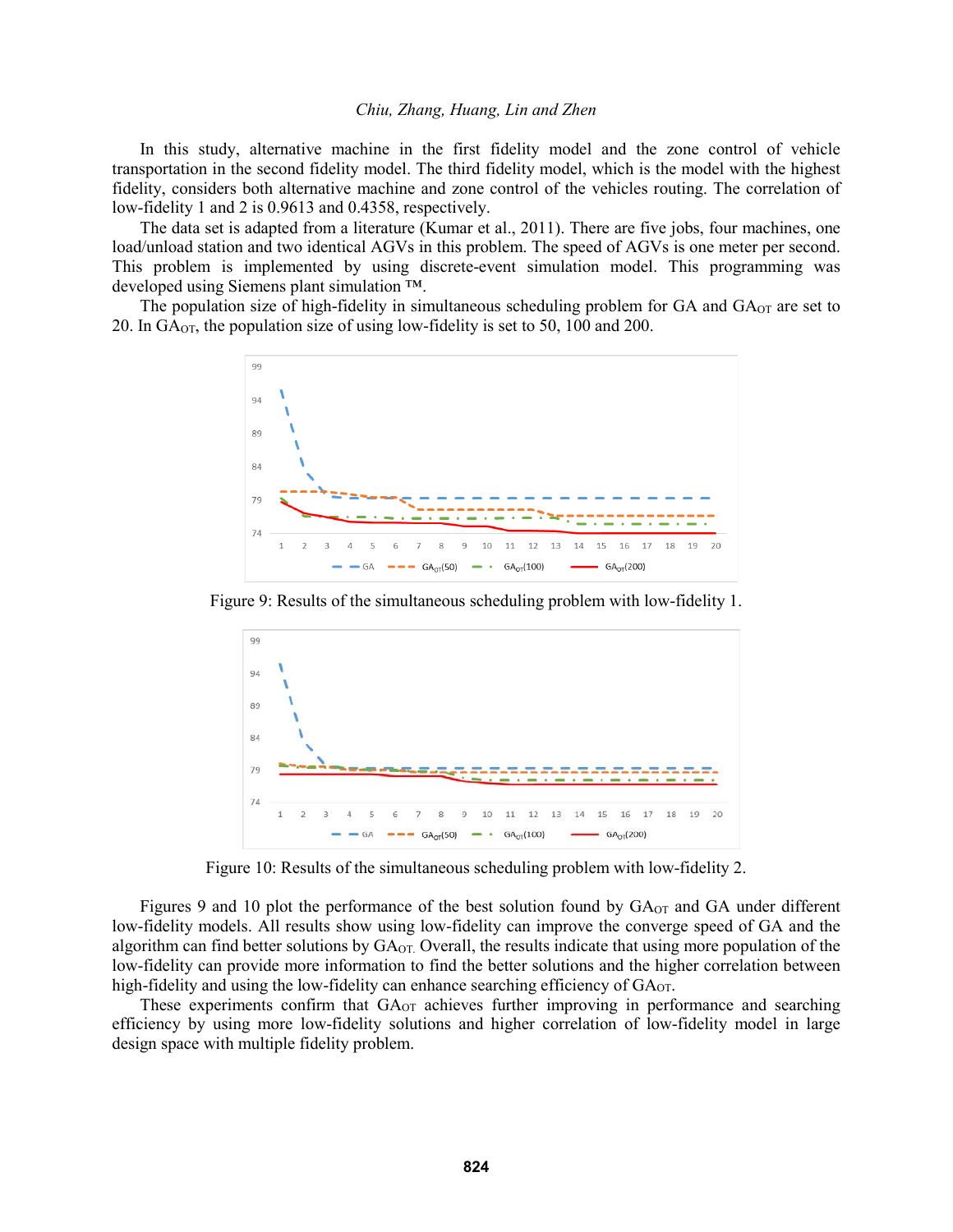In this study, alternative machine in the first fidelity model and the zone control of vehicle transportation in the second fidelity model. The third fidelity model, which is the model with the highest fidelity, considers both alternative machine and zone control of the vehicles routing. The correlation of low-fidelity 1 and 2 is 0.9613 and 0.4358, respectively.

The data set is adapted from a literature (Kumar et al., 2011). There are five jobs, four machines, one load/unload station and two identical AGVs in this problem. The speed of AGVs is one meter per second. This problem is implemented by using discrete-event simulation model. This programming was developed using Siemens plant simulation ™.

The population size of high-fidelity in simultaneous scheduling problem for GA and  $GA<sub>OT</sub>$  are set to 20. In GAOT, the population size of using low-fidelity is set to 50, 100 and 200.



Figure 9: Results of the simultaneous scheduling problem with low-fidelity 1.



Figure 10: Results of the simultaneous scheduling problem with low-fidelity 2.

Figures 9 and 10 plot the performance of the best solution found by  $GA<sub>OT</sub>$  and GA under different low-fidelity models. All results show using low-fidelity can improve the converge speed of GA and the algorithm can find better solutions by GA<sub>OT.</sub> Overall, the results indicate that using more population of the low-fidelity can provide more information to find the better solutions and the higher correlation between high-fidelity and using the low-fidelity can enhance searching efficiency of  $GA_{OT}$ .

These experiments confirm that  $G A_{\text{OT}}$  achieves further improving in performance and searching efficiency by using more low-fidelity solutions and higher correlation of low-fidelity model in large design space with multiple fidelity problem.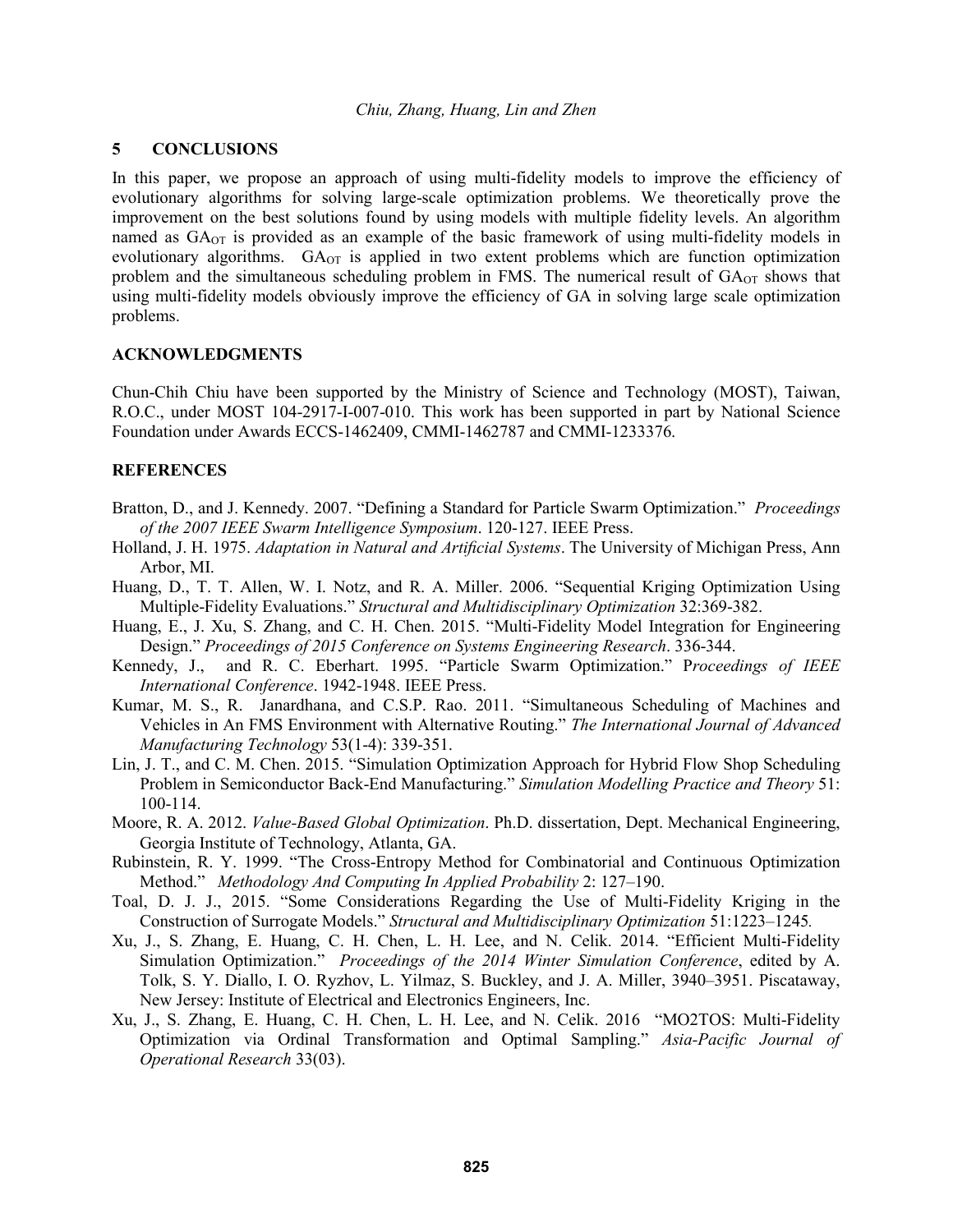# **5 CONCLUSIONS**

In this paper, we propose an approach of using multi-fidelity models to improve the efficiency of evolutionary algorithms for solving large-scale optimization problems. We theoretically prove the improvement on the best solutions found by using models with multiple fidelity levels. An algorithm named as  $GA_{OT}$  is provided as an example of the basic framework of using multi-fidelity models in evolutionary algorithms. GA<sub>OT</sub> is applied in two extent problems which are function optimization problem and the simultaneous scheduling problem in FMS. The numerical result of  $GA<sub>OT</sub>$  shows that using multi-fidelity models obviously improve the efficiency of GA in solving large scale optimization problems.

# **ACKNOWLEDGMENTS**

Chun-Chih Chiu have been supported by the Ministry of Science and Technology (MOST), Taiwan, R.O.C., under MOST 104-2917-I-007-010. This work has been supported in part by National Science Foundation under Awards ECCS-1462409, CMMI-1462787 and CMMI-1233376.

# **REFERENCES**

- Bratton, D., and J. Kennedy. 2007. "Defining a Standard for Particle Swarm Optimization." *Proceedings of the 2007 IEEE Swarm Intelligence Symposium*. 120-127. IEEE Press.
- Holland, J. H. 1975. *Adaptation in Natural and Artificial Systems*. The University of Michigan Press, Ann Arbor, MI.
- Huang, D., T. T. Allen, W. I. Notz, and R. A. Miller. 2006. "Sequential Kriging Optimization Using Multiple-Fidelity Evaluations." *Structural and Multidisciplinary Optimization* 32:369-382.
- Huang, E., J. Xu, S. Zhang, and C. H. Chen. 2015. "Multi-Fidelity Model Integration for Engineering Design." *Proceedings of 2015 Conference on Systems Engineering Research*. 336-344.
- Kennedy, J., and R. C. Eberhart. 1995. "Particle Swarm Optimization." P*roceedings of IEEE International Conference*. 1942-1948. IEEE Press.
- Kumar, M. S., R. Janardhana, and C.S.P. Rao. 2011. "Simultaneous Scheduling of Machines and Vehicles in An FMS Environment with Alternative Routing." *The International Journal of Advanced Manufacturing Technology* 53(1-4): 339-351.
- Lin, J. T., and C. M. Chen. 2015. "Simulation Optimization Approach for Hybrid Flow Shop Scheduling Problem in Semiconductor Back-End Manufacturing." *Simulation Modelling Practice and Theory* 51: 100-114.
- Moore, R. A. 2012. *Value-Based Global Optimization*. Ph.D. dissertation, Dept. Mechanical Engineering, Georgia Institute of Technology, Atlanta, GA.
- Rubinstein, R. Y. 1999. "The Cross-Entropy Method for Combinatorial and Continuous Optimization Method." *Methodology And Computing In Applied Probability* 2: 127–190.
- Toal, D. J. J., 2015. "Some Considerations Regarding the Use of Multi-Fidelity Kriging in the Construction of Surrogate Models." *Structural and Multidisciplinary Optimization* 51:1223–1245*.*
- Xu, J., S. Zhang, E. Huang, C. H. Chen, L. H. Lee, and N. Celik. 2014. "Efficient Multi-Fidelity Simulation Optimization." *Proceedings of the 2014 Winter Simulation Conference*, edited by A. Tolk, S. Y. Diallo, I. O. Ryzhov, L. Yilmaz, S. Buckley, and J. A. Miller, 3940–3951. Piscataway, New Jersey: Institute of Electrical and Electronics Engineers, Inc.
- Xu, J., S. Zhang, E. Huang, C. H. Chen, L. H. Lee, and N. Celik. 2016 "MO2TOS: Multi-Fidelity Optimization via Ordinal Transformation and Optimal Sampling." *Asia-Pacific Journal of Operational Research* 33(03).